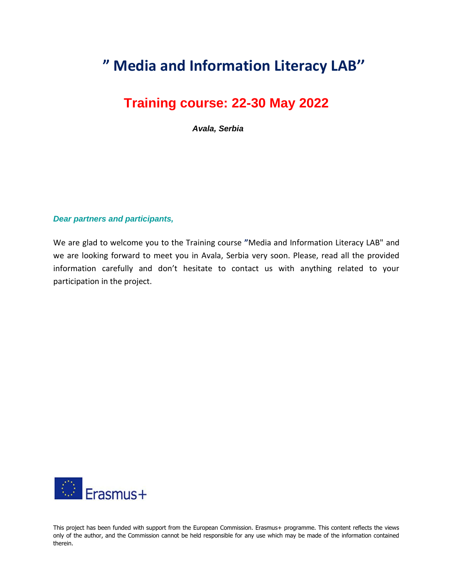## **" Media and Information Literacy LAB''**

## **Training course: 22-30 May 2022**

*Avala, Serbia*

## *Dear partners and participants,*

We are glad to welcome you to the Training course **"**Media and Information Literacy LAB" and we are looking forward to meet you in Avala, Serbia very soon. Please, read all the provided information carefully and don't hesitate to contact us with anything related to your participation in the project.



This project has been funded with support from the European Commission. Erasmus+ programme. This content reflects the views only of the author, and the Commission cannot be held responsible for any use which may be made of the information contained therein.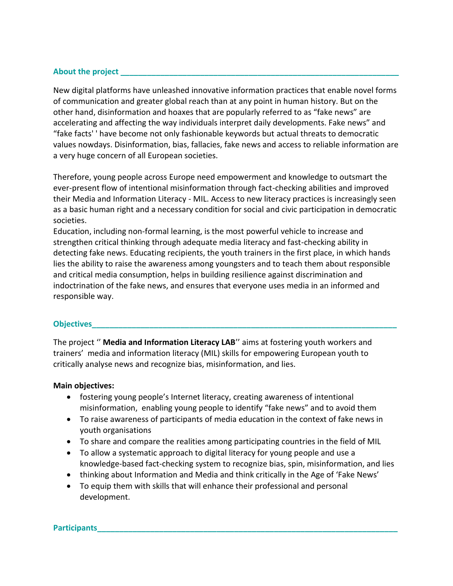## **About the project \_\_\_\_\_\_\_\_\_\_\_\_\_\_\_\_\_\_\_\_\_\_\_\_\_\_\_\_\_\_\_\_\_\_\_\_\_\_\_\_\_\_\_\_\_\_\_\_\_\_\_\_\_\_\_\_\_\_\_\_\_\_\_**

New digital platforms have unleashed innovative information practices that enable novel forms of communication and greater global reach than at any point in human history. But on the other hand, disinformation and hoaxes that are popularly referred to as "fake news" are accelerating and affecting the way individuals interpret daily developments. Fake news" and "fake facts' ' have become not only fashionable keywords but actual threats to democratic values nowdays. Disinformation, bias, fallacies, fake news and access to reliable information are a very huge concern of all European societies.

Therefore, young people across Europe need empowerment and knowledge to outsmart the ever-present flow of intentional misinformation through fact-checking abilities and improved their Media and Information Literacy - MIL. Access to new literacy practices is increasingly seen as a basic human right and a necessary condition for social and civic participation in democratic societies.

Education, including non-formal learning, is the most powerful vehicle to increase and strengthen critical thinking through adequate media literacy and fast-checking ability in detecting fake news. Educating recipients, the youth trainers in the first place, in which hands lies the ability to raise the awareness among youngsters and to teach them about responsible and critical media consumption, helps in building resilience against discrimination and indoctrination of the fake news, and ensures that everyone uses media in an informed and responsible way.

## **Objectives**

The project '' **Media and Information Literacy LAB**'' aims at fostering youth workers and trainers' media and information literacy (MIL) skills for empowering European youth to critically analyse news and recognize bias, misinformation, and lies.

### **Main objectives:**

- fostering young people's Internet literacy, creating awareness of intentional misinformation, enabling young people to identify "fake news" and to avoid them
- To raise awareness of participants of media education in the context of fake news in youth organisations
- To share and compare the realities among participating countries in the field of MIL
- To allow a systematic approach to digital literacy for young people and use a knowledge-based fact-checking system to recognize bias, spin, misinformation, and lies
- thinking about Information and Media and think critically in the Age of 'Fake News'
- To equip them with skills that will enhance their professional and personal development.

### **Participants**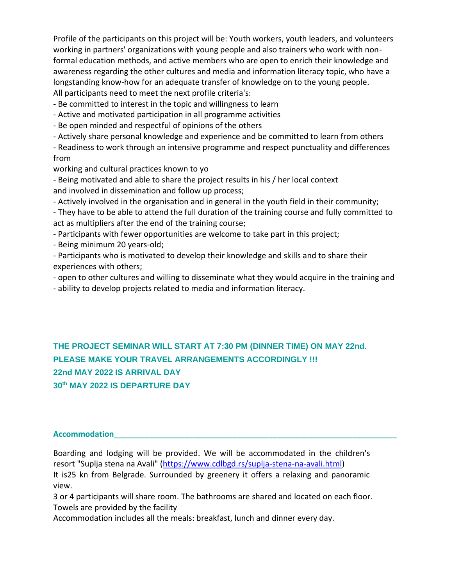Profile of the participants on this project will be: Youth workers, youth leaders, and volunteers working in partners' organizations with young people and also trainers who work with nonformal education methods, and active members who are open to enrich their knowledge and awareness regarding the other cultures and media and information literacy topic, who have a longstanding know-how for an adequate transfer of knowledge on to the young people. All participants need to meet the next profile criteria's:

- Be committed to interest in the topic and willingness to learn

- Active and motivated participation in all programme activities
- Be open minded and respectful of opinions of the others
- Actively share personal knowledge and experience and be committed to learn from others

- Readiness to work through an intensive programme and respect punctuality and differences from

working and cultural practices known to yo

- Being motivated and able to share the project results in his / her local context and involved in dissemination and follow up process;

- Actively involved in the organisation and in general in the youth field in their community;

- They have to be able to attend the full duration of the training course and fully committed to act as multipliers after the end of the training course;

- Participants with fewer opportunities are welcome to take part in this project;
- Being minimum 20 years-old;

- Participants who is motivated to develop their knowledge and skills and to share their experiences with others;

- open to other cultures and willing to disseminate what they would acquire in the training and
- ability to develop projects related to media and information literacy.

**THE PROJECT SEMINAR WILL START AT 7:30 PM (DINNER TIME) ON MAY 22nd. PLEASE MAKE YOUR TRAVEL ARRANGEMENTS ACCORDINGLY !!! 22nd MAY 2022 IS ARRIVAL DAY 30th MAY 2022 IS DEPARTURE DAY**

### **Accommodation\_\_\_\_\_\_\_\_\_\_\_\_\_\_\_\_\_\_\_\_\_\_\_\_\_\_\_\_\_\_\_\_\_\_\_\_\_\_\_\_\_\_\_\_\_\_\_\_\_\_\_\_\_\_\_\_\_\_\_\_\_\_\_\_**

Boarding and lodging will be provided. We will be accommodated in the children's resort "Suplja stena na Avali" [\(https://www.cdlbgd.rs/suplja-stena-na-avali.html\)](https://www.cdlbgd.rs/suplja-stena-na-avali.html) It is25 kn from Belgrade. Surrounded by greenery it offers a relaxing and panoramic view.

3 or 4 participants will share room. The bathrooms are shared and located on each floor. Towels are provided by the facility

Accommodation includes all the meals: breakfast, lunch and dinner every day.